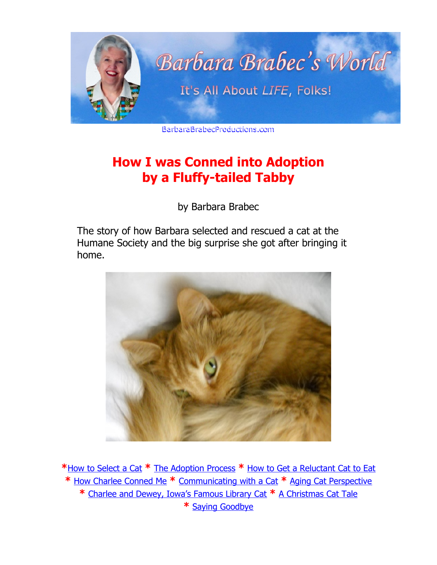<span id="page-0-1"></span>

BarbaraBrabecProductions.com

# **How I was Conned into Adoption by a Fluffy-tailed Tabby**

by Barbara Brabec

The story of how Barbara selected and rescued a cat at the Humane Society and the big surprise she got after bringing it home.



<span id="page-0-0"></span>**\***[How to Select a Cat](#page-1-0) **\*** [The Adoption Process](#page-2-1) **\*** [How to Get a Reluctant Cat to Eat](#page-2-0) **\*** [How Charlee Conned Me](#page-4-0) **\*** [Communicating with a Cat](#page-5-0) **\*** [Aging Cat Perspective](#page-6-0) **\*** [Charlee and Dewey, Iowa's Famous Library Cat](#page-8-1) **\*** [A Christmas Cat Tale](#page-8-0) **\*** [Saying Goodbye](#page-9-0)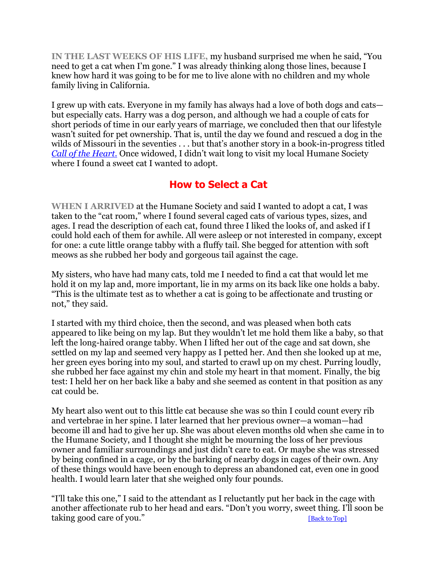**IN THE LAST WEEKS OF HIS LIFE,** my husband surprised me when he said, "You need to get a cat when I'm gone." I was already thinking along those lines, because I knew how hard it was going to be for me to live alone with no children and my whole family living in California.

I grew up with cats. Everyone in my family has always had a love of both dogs and cats but especially cats. Harry was a dog person, and although we had a couple of cats for short periods of time in our early years of marriage, we concluded then that our lifestyle wasn't suited for pet ownership. That is, until the day we found and rescued a dog in the wilds of Missouri in the seventies . . . but that's another story in a book-in-progress titled *[Call of the Heart.](https://barbarabrabecproductions.com/books/)* Once widowed, I didn't wait long to visit my local Humane Society where I found a sweet cat I wanted to adopt.

# <span id="page-1-0"></span>**How to Select a Cat**

**WHEN I ARRIVED** at the Humane Society and said I wanted to adopt a cat, I was taken to the "cat room," where I found several caged cats of various types, sizes, and ages. I read the description of each cat, found three I liked the looks of, and asked if I could hold each of them for awhile. All were asleep or not interested in company, except for one: a cute little orange tabby with a fluffy tail. She begged for attention with soft meows as she rubbed her body and gorgeous tail against the cage.

My sisters, who have had many cats, told me I needed to find a cat that would let me hold it on my lap and, more important, lie in my arms on its back like one holds a baby. "This is the ultimate test as to whether a cat is going to be affectionate and trusting or not," they said.

I started with my third choice, then the second, and was pleased when both cats appeared to like being on my lap. But they wouldn't let me hold them like a baby, so that left the long-haired orange tabby. When I lifted her out of the cage and sat down, she settled on my lap and seemed very happy as I petted her. And then she looked up at me, her green eyes boring into my soul, and started to crawl up on my chest. Purring loudly, she rubbed her face against my chin and stole my heart in that moment. Finally, the big test: I held her on her back like a baby and she seemed as content in that position as any cat could be.

My heart also went out to this little cat because she was so thin I could count every rib and vertebrae in her spine. I later learned that her previous owner—a woman—had become ill and had to give her up. She was about eleven months old when she came in to the Humane Society, and I thought she might be mourning the loss of her previous owner and familiar surroundings and just didn't care to eat. Or maybe she was stressed by being confined in a cage, or by the barking of nearby dogs in cages of their own. Any of these things would have been enough to depress an abandoned cat, even one in good health. I would learn later that she weighed only four pounds.

"I'll take this one," I said to the attendant as I reluctantly put her back in the cage with another affectionate rub to her head and ears. "Don't you worry, sweet thing. I'll soon be taking good care of you."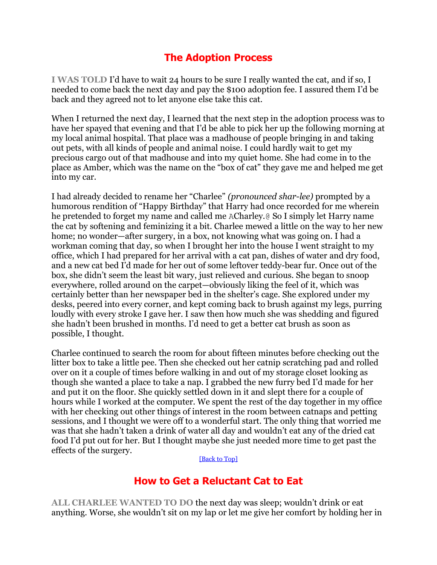# <span id="page-2-1"></span>**The Adoption Process**

**I WAS TOLD** I'd have to wait 24 hours to be sure I really wanted the cat, and if so, I needed to come back the next day and pay the \$100 adoption fee. I assured them I'd be back and they agreed not to let anyone else take this cat.

When I returned the next day, I learned that the next step in the adoption process was to have her spayed that evening and that I'd be able to pick her up the following morning at my local animal hospital. That place was a madhouse of people bringing in and taking out pets, with all kinds of people and animal noise. I could hardly wait to get my precious cargo out of that madhouse and into my quiet home. She had come in to the place as Amber, which was the name on the "box of cat" they gave me and helped me get into my car.

I had already decided to rename her "Charlee" *(pronounced shar-lee)* prompted by a humorous rendition of "Happy Birthday" that Harry had once recorded for me wherein he pretended to forget my name and called me ACharley.@ So I simply let Harry name the cat by softening and feminizing it a bit. Charlee mewed a little on the way to her new home; no wonder—after surgery, in a box, not knowing what was going on. I had a workman coming that day, so when I brought her into the house I went straight to my office, which I had prepared for her arrival with a cat pan, dishes of water and dry food, and a new cat bed I'd made for her out of some leftover teddy-bear fur. Once out of the box, she didn't seem the least bit wary, just relieved and curious. She began to snoop everywhere, rolled around on the carpet—obviously liking the feel of it, which was certainly better than her newspaper bed in the shelter's cage. She explored under my desks, peered into every corner, and kept coming back to brush against my legs, purring loudly with every stroke I gave her. I saw then how much she was shedding and figured she hadn't been brushed in months. I'd need to get a better cat brush as soon as possible, I thought.

Charlee continued to search the room for about fifteen minutes before checking out the litter box to take a little pee. Then she checked out her catnip scratching pad and rolled over on it a couple of times before walking in and out of my storage closet looking as though she wanted a place to take a nap. I grabbed the new furry bed I'd made for her and put it on the floor. She quickly settled down in it and slept there for a couple of hours while I worked at the computer. We spent the rest of the day together in my office with her checking out other things of interest in the room between catnaps and petting sessions, and I thought we were off to a wonderful start. The only thing that worried me was that she hadn't taken a drink of water all day and wouldn't eat any of the dried cat food I'd put out for her. But I thought maybe she just needed more time to get past the effects of the surgery.

<span id="page-2-0"></span>[\[Back to Top\]](#page-0-0)

### **How to Get a Reluctant Cat to Eat**

**ALL CHARLEE WANTED TO DO** the next day was sleep; wouldn't drink or eat anything. Worse, she wouldn't sit on my lap or let me give her comfort by holding her in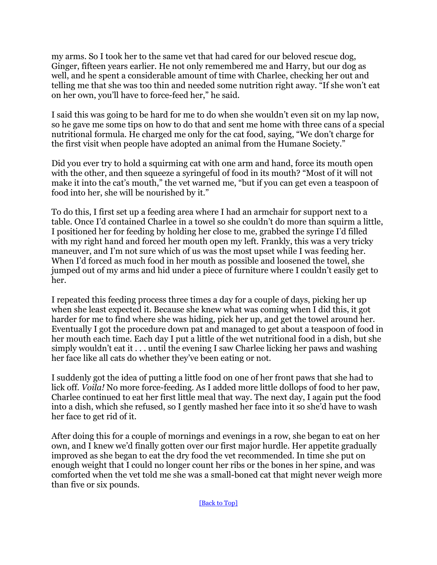my arms. So I took her to the same vet that had cared for our beloved rescue dog, Ginger, fifteen years earlier. He not only remembered me and Harry, but our dog as well, and he spent a considerable amount of time with Charlee, checking her out and telling me that she was too thin and needed some nutrition right away. "If she won't eat on her own, you'll have to force-feed her," he said.

I said this was going to be hard for me to do when she wouldn't even sit on my lap now, so he gave me some tips on how to do that and sent me home with three cans of a special nutritional formula. He charged me only for the cat food, saying, "We don't charge for the first visit when people have adopted an animal from the Humane Society."

Did you ever try to hold a squirming cat with one arm and hand, force its mouth open with the other, and then squeeze a syringeful of food in its mouth? "Most of it will not make it into the cat's mouth," the vet warned me, "but if you can get even a teaspoon of food into her, she will be nourished by it."

To do this, I first set up a feeding area where I had an armchair for support next to a table. Once I'd contained Charlee in a towel so she couldn't do more than squirm a little, I positioned her for feeding by holding her close to me, grabbed the syringe I'd filled with my right hand and forced her mouth open my left. Frankly, this was a very tricky maneuver, and I'm not sure which of us was the most upset while I was feeding her. When I'd forced as much food in her mouth as possible and loosened the towel, she jumped out of my arms and hid under a piece of furniture where I couldn't easily get to her.

I repeated this feeding process three times a day for a couple of days, picking her up when she least expected it. Because she knew what was coming when I did this, it got harder for me to find where she was hiding, pick her up, and get the towel around her. Eventually I got the procedure down pat and managed to get about a teaspoon of food in her mouth each time. Each day I put a little of the wet nutritional food in a dish, but she simply wouldn't eat it . . . until the evening I saw Charlee licking her paws and washing her face like all cats do whether they've been eating or not.

I suddenly got the idea of putting a little food on one of her front paws that she had to lick off. *Voila!* No more force-feeding. As I added more little dollops of food to her paw, Charlee continued to eat her first little meal that way. The next day, I again put the food into a dish, which she refused, so I gently mashed her face into it so she'd have to wash her face to get rid of it.

After doing this for a couple of mornings and evenings in a row, she began to eat on her own, and I knew we'd finally gotten over our first major hurdle. Her appetite gradually improved as she began to eat the dry food the vet recommended. In time she put on enough weight that I could no longer count her ribs or the bones in her spine, and was comforted when the vet told me she was a small-boned cat that might never weigh more than five or six pounds.

[\[Back to Top\]](#page-0-0)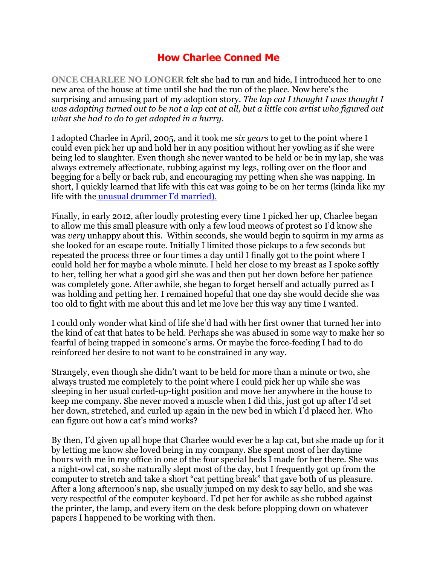# <span id="page-4-0"></span>**How Charlee Conned Me**

**ONCE CHARLEE NO LONGER** felt she had to run and hide, I introduced her to one new area of the house at time until she had the run of the place. Now here's the surprising and amusing part of my adoption story. *The lap cat I thought I was thought I was adopting turned out to be not a lap cat at all, but a little con artist who figured out what she had to do to get adopted in a hurry.*

I adopted Charlee in April, 2005, and it took me *six years* to get to the point where I could even pick her up and hold her in any position without her yowling as if she were being led to slaughter. Even though she never wanted to be held or be in my lap, she was always extremely affectionate, rubbing against my legs, rolling over on the floor and begging for a belly or back rub, and encouraging my petting when she was napping. In short, I quickly learned that life with this cat was going to be on her terms (kinda like my life with the [unusual drummer I'd married\).](https://barbarabrabecproductions.com/about/harry-brabec/)

Finally, in early 2012, after loudly protesting every time I picked her up, Charlee began to allow me this small pleasure with only a few loud meows of protest so I'd know she was *very* unhappy about this. Within seconds, she would begin to squirm in my arms as she looked for an escape route. Initially I limited those pickups to a few seconds but repeated the process three or four times a day until I finally got to the point where I could hold her for maybe a whole minute. I held her close to my breast as I spoke softly to her, telling her what a good girl she was and then put her down before her patience was completely gone. After awhile, she began to forget herself and actually purred as I was holding and petting her. I remained hopeful that one day she would decide she was too old to fight with me about this and let me love her this way any time I wanted.

I could only wonder what kind of life she'd had with her first owner that turned her into the kind of cat that hates to be held. Perhaps she was abused in some way to make her so fearful of being trapped in someone's arms. Or maybe the force-feeding I had to do reinforced her desire to not want to be constrained in any way.

Strangely, even though she didn't want to be held for more than a minute or two, she always trusted me completely to the point where I could pick her up while she was sleeping in her usual curled-up-tight position and move her anywhere in the house to keep me company. She never moved a muscle when I did this, just got up after I'd set her down, stretched, and curled up again in the new bed in which I'd placed her. Who can figure out how a cat's mind works?

By then, I'd given up all hope that Charlee would ever be a lap cat, but she made up for it by letting me know she loved being in my company. She spent most of her daytime hours with me in my office in one of the four special beds I made for her there. She was a night-owl cat, so she naturally slept most of the day, but I frequently got up from the computer to stretch and take a short "cat petting break" that gave both of us pleasure. After a long afternoon's nap, she usually jumped on my desk to say hello, and she was very respectful of the computer keyboard. I'd pet her for awhile as she rubbed against the printer, the lamp, and every item on the desk before plopping down on whatever papers I happened to be working with then.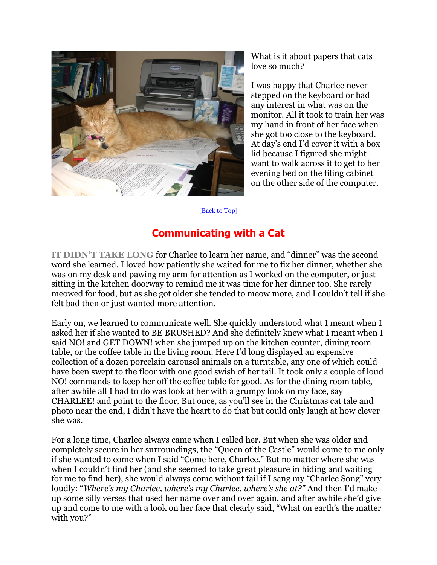

What is it about papers that cats love so much?

I was happy that Charlee never stepped on the keyboard or had any interest in what was on the monitor. All it took to train her was my hand in front of her face when she got too close to the keyboard. At day's end I'd cover it with a box lid because I figured she might want to walk across it to get to her evening bed on the filing cabinet on the other side of the computer.

#### <span id="page-5-0"></span>[\[Back to Top\]](#page-0-0)

# **Communicating with a Cat**

**IT DIDN'T TAKE LONG** for Charlee to learn her name, and "dinner" was the second word she learned. I loved how patiently she waited for me to fix her dinner, whether she was on my desk and pawing my arm for attention as I worked on the computer, or just sitting in the kitchen doorway to remind me it was time for her dinner too. She rarely meowed for food, but as she got older she tended to meow more, and I couldn't tell if she felt bad then or just wanted more attention.

Early on, we learned to communicate well. She quickly understood what I meant when I asked her if she wanted to BE BRUSHED? And she definitely knew what I meant when I said NO! and GET DOWN! when she jumped up on the kitchen counter, dining room table, or the coffee table in the living room. Here I'd long displayed an expensive collection of a dozen porcelain carousel animals on a turntable, any one of which could have been swept to the floor with one good swish of her tail. It took only a couple of loud NO! commands to keep her off the coffee table for good. As for the dining room table, after awhile all I had to do was look at her with a grumpy look on my face, say CHARLEE! and point to the floor. But once, as you'll see in the Christmas cat tale and photo near the end, I didn't have the heart to do that but could only laugh at how clever she was.

For a long time, Charlee always came when I called her. But when she was older and completely secure in her surroundings, the "Queen of the Castle" would come to me only if she wanted to come when I said "Come here, Charlee." But no matter where she was when I couldn't find her (and she seemed to take great pleasure in hiding and waiting for me to find her), she would always come without fail if I sang my "Charlee Song" very loudly: "*Where's my Charlee, where's my Charlee, where's she at?"* And then I'd make up some silly verses that used her name over and over again, and after awhile she'd give up and come to me with a look on her face that clearly said, "What on earth's the matter with you?"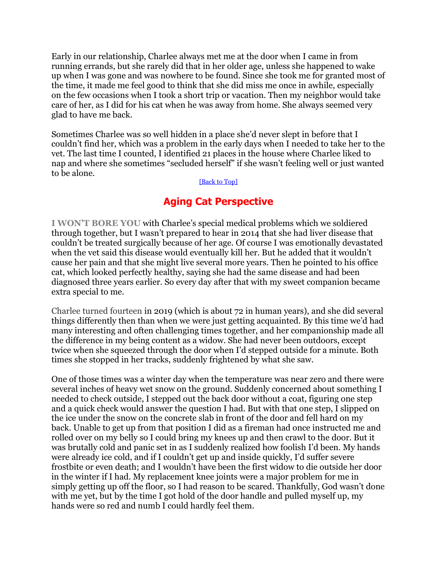Early in our relationship, Charlee always met me at the door when I came in from running errands, but she rarely did that in her older age, unless she happened to wake up when I was gone and was nowhere to be found. Since she took me for granted most of the time, it made me feel good to think that she did miss me once in awhile, especially on the few occasions when I took a short trip or vacation. Then my neighbor would take care of her, as I did for his cat when he was away from home. She always seemed very glad to have me back.

Sometimes Charlee was so well hidden in a place she'd never slept in before that I couldn't find her, which was a problem in the early days when I needed to take her to the vet. The last time I counted, I identified 21 places in the house where Charlee liked to nap and where she sometimes "secluded herself" if she wasn't feeling well or just wanted to be alone.

#### [\[Back to Top\]](#page-0-0)

### <span id="page-6-0"></span>**Aging Cat Perspective**

**I WON'T BORE YOU** with Charlee's special medical problems which we soldiered through together, but I wasn't prepared to hear in 2014 that she had liver disease that couldn't be treated surgically because of her age. Of course I was emotionally devastated when the vet said this disease would eventually kill her. But he added that it wouldn't cause her pain and that she might live several more years. Then he pointed to his office cat, which looked perfectly healthy, saying she had the same disease and had been diagnosed three years earlier. So every day after that with my sweet companion became extra special to me.

Charlee turned fourteen in 2019 (which is about 72 in human years), and she did several things differently then than when we were just getting acquainted. By this time we'd had many interesting and often challenging times together, and her companionship made all the difference in my being content as a widow. She had never been outdoors, except twice when she squeezed through the door when I'd stepped outside for a minute. Both times she stopped in her tracks, suddenly frightened by what she saw.

One of those times was a winter day when the temperature was near zero and there were several inches of heavy wet snow on the ground. Suddenly concerned about something I needed to check outside, I stepped out the back door without a coat, figuring one step and a quick check would answer the question I had. But with that one step, I slipped on the ice under the snow on the concrete slab in front of the door and fell hard on my back. Unable to get up from that position I did as a fireman had once instructed me and rolled over on my belly so I could bring my knees up and then crawl to the door. But it was brutally cold and panic set in as I suddenly realized how foolish I'd been. My hands were already ice cold, and if I couldn't get up and inside quickly, I'd suffer severe frostbite or even death; and I wouldn't have been the first widow to die outside her door in the winter if I had. My replacement knee joints were a major problem for me in simply getting up off the floor, so I had reason to be scared. Thankfully, God wasn't done with me yet, but by the time I got hold of the door handle and pulled myself up, my hands were so red and numb I could hardly feel them.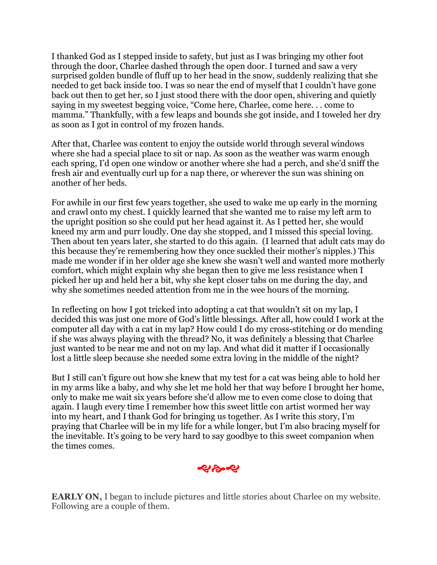I thanked God as I stepped inside to safety, but just as I was bringing my other foot through the door, Charlee dashed through the open door. I turned and saw a very surprised golden bundle of fluff up to her head in the snow, suddenly realizing that she needed to get back inside too. I was so near the end of myself that I couldn't have gone back out then to get her, so I just stood there with the door open, shivering and quietly saying in my sweetest begging voice, "Come here, Charlee, come here. . . come to mamma." Thankfully, with a few leaps and bounds she got inside, and I toweled her dry as soon as I got in control of my frozen hands.

After that, Charlee was content to enjoy the outside world through several windows where she had a special place to sit or nap. As soon as the weather was warm enough each spring, I'd open one window or another where she had a perch, and she'd sniff the fresh air and eventually curl up for a nap there, or wherever the sun was shining on another of her beds.

For awhile in our first few years together, she used to wake me up early in the morning and crawl onto my chest. I quickly learned that she wanted me to raise my left arm to the upright position so she could put her head against it. As I petted her, she would kneed my arm and purr loudly. One day she stopped, and I missed this special loving. Then about ten years later, she started to do this again. (I learned that adult cats may do this because they're remembering how they once suckled their mother's nipples.) This made me wonder if in her older age she knew she wasn't well and wanted more motherly comfort, which might explain why she began then to give me less resistance when I picked her up and held her a bit, why she kept closer tabs on me during the day, and why she sometimes needed attention from me in the wee hours of the morning.

In reflecting on how I got tricked into adopting a cat that wouldn't sit on my lap, I decided this was just one more of God's little blessings. After all, how could I work at the computer all day with a cat in my lap? How could I do my cross-stitching or do mending if she was always playing with the thread? No, it was definitely a blessing that Charlee just wanted to be near me and not on my lap. And what did it matter if I occasionally lost a little sleep because she needed some extra loving in the middle of the night?

But I still can't figure out how she knew that my test for a cat was being able to hold her in my arms like a baby, and why she let me hold her that way before I brought her home, only to make me wait six years before she'd allow me to even come close to doing that again. I laugh every time I remember how this sweet little con artist wormed her way into my heart, and I thank God for bringing us together. As I write this story, I'm praying that Charlee will be in my life for a while longer, but I'm also bracing myself for the inevitable. It's going to be very hard to say goodbye to this sweet companion when the times comes.

おやお

**EARLY ON,** I began to include pictures and little stories about Charlee on my website. Following are a couple of them.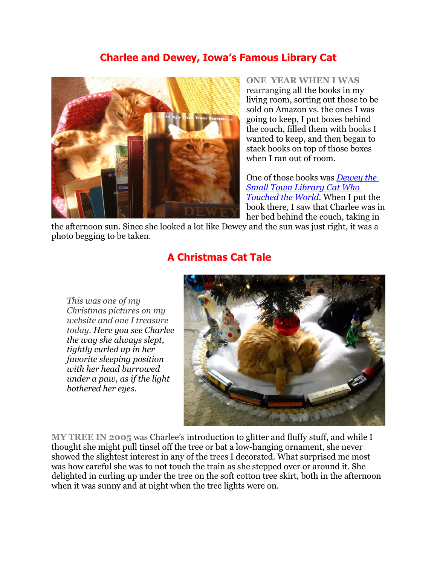# <span id="page-8-1"></span>**Charlee and Dewey, Iowa's Famous Library Cat**



**ONE YEAR WHEN I WAS** rearranging all the books in my living room, sorting out those to be sold on Amazon vs. the ones I was going to keep, I put boxes behind the couch, filled them with books I wanted to keep, and then began to stack books on top of those boxes when I ran out of room.

One of those books was *[Dewey the](https://www.amazon.com/Dewey-Small-Town-Library-Touched-World/dp/0446407429/ref=pd_bxgy_14_2/130-5149185-5032431?_encoding=UTF8&pd_rd_i=0446407429&pd_rd_r=825066d9-572e-11e9-9d06-a332060cea22&pd_rd_w=npiLz&pd_rd_wg=TjM3l&pf_rd_p=a2006322-0bc0-4db9-a08e-d16)  [Small Town Library Cat Who](https://www.amazon.com/Dewey-Small-Town-Library-Touched-World/dp/0446407429/ref=pd_bxgy_14_2/130-5149185-5032431?_encoding=UTF8&pd_rd_i=0446407429&pd_rd_r=825066d9-572e-11e9-9d06-a332060cea22&pd_rd_w=npiLz&pd_rd_wg=TjM3l&pf_rd_p=a2006322-0bc0-4db9-a08e-d16)  [Touched the World.](https://www.amazon.com/Dewey-Small-Town-Library-Touched-World/dp/0446407429/ref=pd_bxgy_14_2/130-5149185-5032431?_encoding=UTF8&pd_rd_i=0446407429&pd_rd_r=825066d9-572e-11e9-9d06-a332060cea22&pd_rd_w=npiLz&pd_rd_wg=TjM3l&pf_rd_p=a2006322-0bc0-4db9-a08e-d16)* When I put the book there, I saw that Charlee was in her bed behind the couch, taking in

the afternoon sun. Since she looked a lot like Dewey and the sun was just right, it was a photo begging to be taken.

*This was one of my Christmas pictures on my website and one I treasure today. Here you see Charlee the way she always slept, tightly curled up in her favorite sleeping position with her head burrowed under a paw, as if the light bothered her eyes.*

# <span id="page-8-0"></span>**A Christmas Cat Tale**



**MY TREE IN 2005** was Charlee's introduction to glitter and fluffy stuff, and while I thought she might pull tinsel off the tree or bat a low-hanging ornament, she never showed the slightest interest in any of the trees I decorated. What surprised me most was how careful she was to not touch the train as she stepped over or around it. She delighted in curling up under the tree on the soft cotton tree skirt, both in the afternoon when it was sunny and at night when the tree lights were on.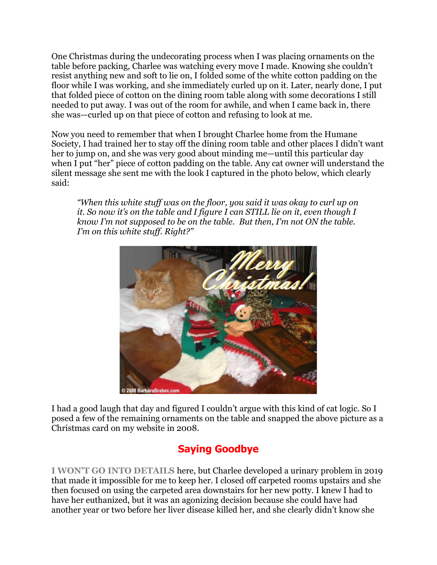One Christmas during the undecorating process when I was placing ornaments on the table before packing, Charlee was watching every move I made. Knowing she couldn't resist anything new and soft to lie on, I folded some of the white cotton padding on the floor while I was working, and she immediately curled up on it. Later, nearly done, I put that folded piece of cotton on the dining room table along with some decorations I still needed to put away. I was out of the room for awhile, and when I came back in, there she was—curled up on that piece of cotton and refusing to look at me.

Now you need to remember that when I brought Charlee home from the Humane Society, I had trained her to stay off the dining room table and other places I didn't want her to jump on, and she was very good about minding me—until this particular day when I put "her" piece of cotton padding on the table. Any cat owner will understand the silent message she sent me with the look I captured in the photo below, which clearly said:

*"When this white stuff was on the floor, you said it was okay to curl up on it. So now it's on the table and I figure I can STILL lie on it, even though I know I'm not supposed to be on the table. But then, I'm not ON the table. I'm on this white stuff. Right?"*



I had a good laugh that day and figured I couldn't argue with this kind of cat logic. So I posed a few of the remaining ornaments on the table and snapped the above picture as a Christmas card on my website in 2008.

# <span id="page-9-0"></span>**Saying Goodbye**

**I WON'T GO INTO DETAILS** here, but Charlee developed a urinary problem in 2019 that made it impossible for me to keep her. I closed off carpeted rooms upstairs and she then focused on using the carpeted area downstairs for her new potty. I knew I had to have her euthanized, but it was an agonizing decision because she could have had another year or two before her liver disease killed her, and she clearly didn't know she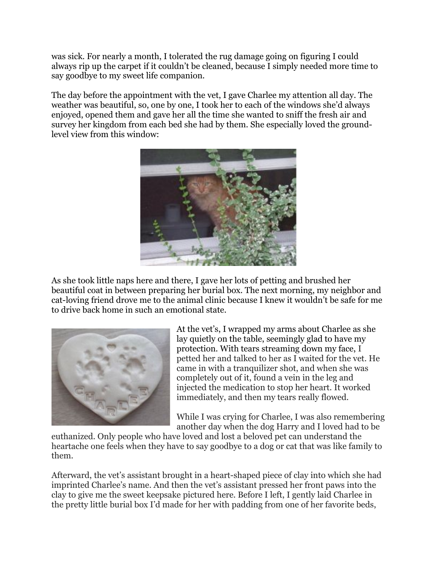was sick. For nearly a month, I tolerated the rug damage going on figuring I could always rip up the carpet if it couldn't be cleaned, because I simply needed more time to say goodbye to my sweet life companion.

The day before the appointment with the vet, I gave Charlee my attention all day. The weather was beautiful, so, one by one, I took her to each of the windows she'd always enjoyed, opened them and gave her all the time she wanted to sniff the fresh air and survey her kingdom from each bed she had by them. She especially loved the groundlevel view from this window:



As she took little naps here and there, I gave her lots of petting and brushed her beautiful coat in between preparing her burial box. The next morning, my neighbor and cat-loving friend drove me to the animal clinic because I knew it wouldn't be safe for me to drive back home in such an emotional state.



At the vet's, I wrapped my arms about Charlee as she lay quietly on the table, seemingly glad to have my protection. With tears streaming down my face, I petted her and talked to her as I waited for the vet. He came in with a tranquilizer shot, and when she was completely out of it, found a vein in the leg and injected the medication to stop her heart. It worked immediately, and then my tears really flowed.

While I was crying for Charlee, I was also remembering another day when the dog Harry and I loved had to be

euthanized. Only people who have loved and lost a beloved pet can understand the heartache one feels when they have to say goodbye to a dog or cat that was like family to them.

Afterward, the vet's assistant brought in a heart-shaped piece of clay into which she had imprinted Charlee's name. And then the vet's assistant pressed her front paws into the clay to give me the sweet keepsake pictured here. Before I left, I gently laid Charlee in the pretty little burial box I'd made for her with padding from one of her favorite beds,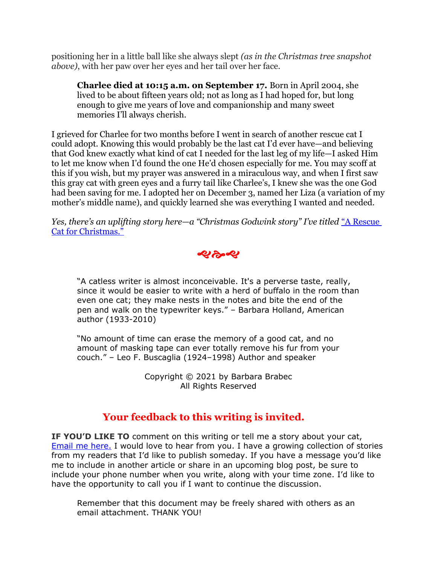positioning her in a little ball like she always slept *(as in the Christmas tree snapshot above)*, with her paw over her eyes and her tail over her face.

**Charlee died at 10:15 a.m. on September 17.** Born in April 2004, she lived to be about fifteen years old; not as long as I had hoped for, but long enough to give me years of love and companionship and many sweet memories I'll always cherish.

I grieved for Charlee for two months before I went in search of another rescue cat I could adopt. Knowing this would probably be the last cat I'd ever have—and believing that God knew exactly what kind of cat I needed for the last leg of my life—I asked Him to let me know when I'd found the one He'd chosen especially for me. You may scoff at this if you wish, but my prayer was answered in a miraculous way, and when I first saw this gray cat with green eyes and a furry tail like Charlee's, I knew she was the one God had been saving for me. I adopted her on December 3, named her Liza (a variation of my mother's middle name), and quickly learned she was everything I wanted and needed.

*Yes, there's an uplifting story here—a "Christmas Godwink story" I've titled "A Rescue* [Cat for Christmas."](https://barbarabrabecproductions.com/articles/cat-and-dog-tales/a-rescue-cat-for-christmas/)



"A catless writer is almost inconceivable. It's a perverse taste, really, since it would be easier to write with a herd of buffalo in the room than even one cat; they make nests in the notes and bite the end of the pen and walk on the typewriter keys." – Barbara Holland, American author (1933-2010)

"No amount of time can erase the memory of a good cat, and no amount of masking tape can ever totally remove his fur from your couch." – Leo F. Buscaglia (1924–1998) Author and speaker

> Copyright © 2021 by Barbara Brabec All Rights Reserved

# **Your feedback to this writing is invited.**

**IF YOU'D LIKE TO** comment on this writing or tell me a story about your cat, [Email me here.](https://barbarabrabecproductions.com/contact) I would love to hear from you. I have a growing collection of stories from my readers that I'd like to publish someday. If you have a message you'd like me to include in another article or share in an upcoming blog post, be sure to include your phone number when you write, along with your time zone. I'd like to have the opportunity to call you if I want to continue the discussion.

Remember that this document may be freely shared with others as an email attachment. THANK YOU!